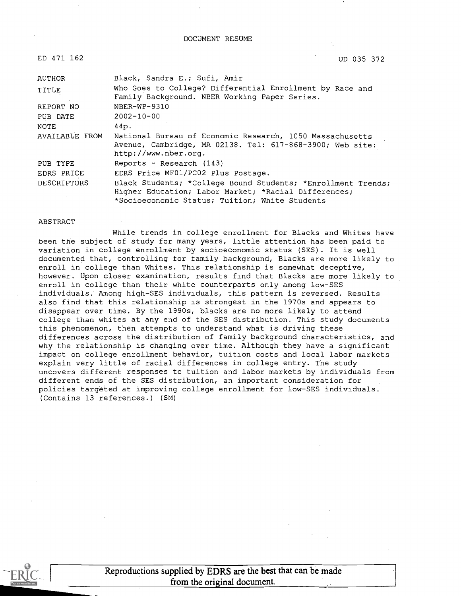#### DOCUMENT RESUME

| ED 471 162         | UD 035 372                                                                                                                                                             |
|--------------------|------------------------------------------------------------------------------------------------------------------------------------------------------------------------|
| AUTHOR             | Black, Sandra E.; Sufi, Amir                                                                                                                                           |
| TITLE              | Who Goes to College? Differential Enrollment by Race and<br>Family Background. NBER Working Paper Series.                                                              |
| REPORT NO          | NBER-WP-9310                                                                                                                                                           |
| PUB DATE           | $2002 - 10 - 00$                                                                                                                                                       |
| <b>NOTE</b>        | 44p.                                                                                                                                                                   |
| AVAILABLE FROM     | National Bureau of Economic Research, 1050 Massachusetts<br>Avenue, Cambridge, MA 02138. Tel: 617-868-3900; Web site:<br>http://www.nber.org.                          |
| PUB TYPE           | Reports - Research (143)                                                                                                                                               |
| EDRS PRICE         | EDRS Price MF01/PC02 Plus Postage.                                                                                                                                     |
| <b>DESCRIPTORS</b> | Black Students; *College Bound Students; *Enrollment Trends;<br>Higher Education; Labor Market; *Racial Differences;<br>*Socioeconomic Status; Tuition; White Students |

#### ABSTRACT

While trends in college enrollment for Blacks and Whites have been the subject of study for many years, little attention has been paid to variation in college enrollment by socioeconomic status (SES). It is well documented that, controlling for family background, Blacks are more likely to enroll in college than Whites. This relationship is somewhat deceptive, however. Upon closer examination, results find that Blacks are more likely to enroll in college than their white counterparts only among low-SES individuals. Among high-SES individuals, this pattern is reversed. Results also find that this relationship is strongest in the 1970s and appears to disappear over time. By the 1990s, blacks are no more likely to attend college than whites at any end of the SES distribution. This study documents this phenomenon, then attempts to understand what is driving these differences across the distribution of family background characteristics, and why the relationship is changing over time. Although they have a significant impact on college enrollment behavior, tuition costs and local labor markets explain very little of racial differences in college entry. The study uncovers different responses to tuition and labor markets by individuals from different ends of the SES distribution, an important consideration for policies targeted at improving college enrollment for low-SES individuals. (Contains 13 references.) (SM)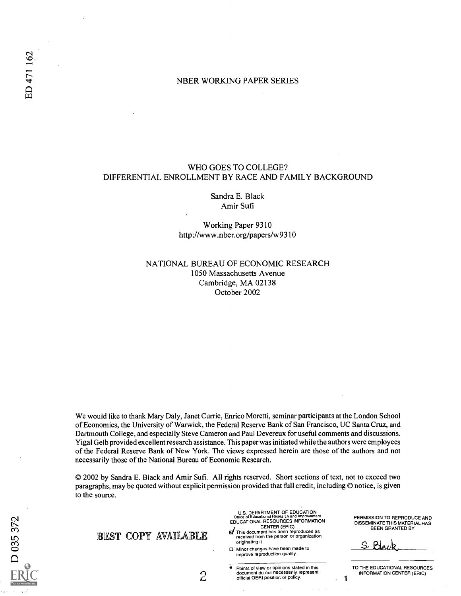# NBER WORKING PAPER SERIES

# WHO GOES TO COLLEGE? DIFFERENTIAL ENROLLMENT BY RACE AND FAMILY BACKGROUND

Sandra E. Black Amir Sufi

Working Paper 9310 http://www.nber.org/papers/w9310

NATIONAL BUREAU OF ECONOMIC RESEARCH 1050 Massachusetts Avenue Cambridge, MA 02138 October 2002

We would like to thank Mary Daly, Janet Currie, Enrico Moretti, seminar participants at the London School of Economics, the University of Warwick, the Federal Reserve Bank of San Francisco, UC Santa Cruz, and Dartmouth College, and especially Steve Cameron and Paul Devereux for useful comments and discussions. Yigal Gelb provided excellent research assistance. This paper was initiated while the authors were employees of the Federal Reserve Bank of New York. The views expressed herein are those of the authors and not necessarily those of the National Bureau of Economic Research.

© 2002 by Sandra E. Black and Amir Sufi. All rights reserved. Short sections of text, not to exceed two paragraphs, may be quoted without explicit permission provided that full credit, including © notice, is given to the source.

| BEST COPY AVAILABLE | U.S. DEPARTMENT OF EDUCATION<br>Office of Educational Research and Improvement<br>EDUCATIONAL RESOURCES INFORMATION<br>CENTER (ERIC)<br>of This document has been reproduced as<br>received from the person or organization<br>originating it.<br>□ Minor changes have been made to<br>improve reproduction quality. | PERMISSION TO REPRODUCE AND<br>DISSEMINATE THIS MATERIAL HAS<br><b>BEEN GRANTED BY</b> |
|---------------------|----------------------------------------------------------------------------------------------------------------------------------------------------------------------------------------------------------------------------------------------------------------------------------------------------------------------|----------------------------------------------------------------------------------------|
| -                   | Points of view or opinions stated in this<br>document do not necessarily represent<br>official OERI position or policy.                                                                                                                                                                                              | TO THE EDUCATIONAL RESOURCES.<br>INFORMATION CENTER (ERIC)                             |

D<sub>035</sub>37<sub>2</sub>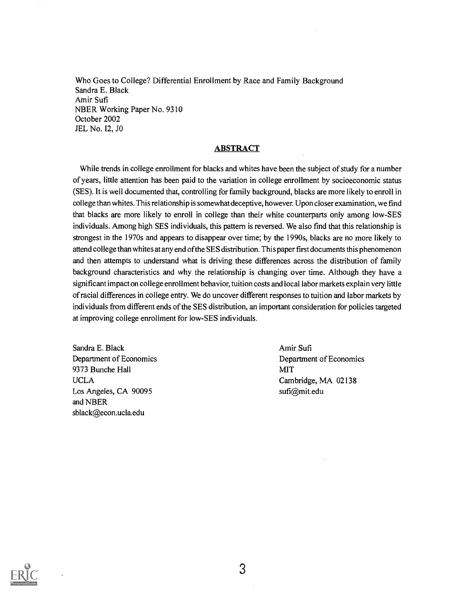Who Goes to College? Differential Enrollment by Race and Family Background Sandra E. Black Amir Sufi NBER Working Paper No. 9310 October 2002 JEL No. 12, JO

# **ABSTRACT**

While trends in college enrollment for blacks and whites have been the subject of study for a number of years, little attention has been paid to the variation in college enrollment by socioeconomic status (SES). It is well documented that, controlling for family background, blacks are more likely to enroll in college than whites. This relationship is somewhat deceptive, however. Upon closer examination, we find that blacks are more likely to enroll in college than their white counterparts only among low-SES individuals. Among high SES individuals, this pattern is reversed. We also find that this relationship is strongest in the 1970s and appears to disappear over time; by the 1990s, blacks are no more likely to attend college than whites at any end ofthe SES distribution. This paper first documents this phenomenon and then attempts to understand what is driving these differences across the distribution of family background characteristics and why the relationship is changing over time. Although they have a significant impact on college enrollment behavior, tuition costs and local labor markets explain very little of racial differences in college entry. We do uncover different responses to tuition and labor markets by individuals from different ends of the SES distribution, an important consideration for policies targeted at improving college enrollment for low-SES individuals.

Sandra E. Black Department of Economics 9373 Bunche Hall UCLA Los Angeles, CA 90095 and NBER sblack@econ.ucla.edu

Amir Sufi Department of Economics MIT Cambridge, MA 02138 sufi@mit.edu

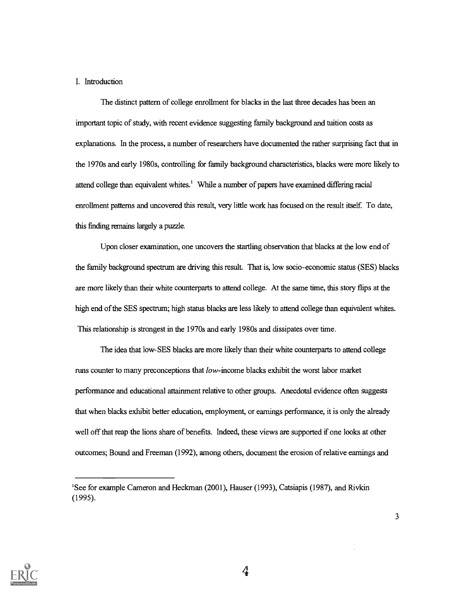## I. Introduction

The distinct pattern of college enrollment for blacks in the last three decades has been an important topic of study, with recent evidence suggesting family background and tuition costs as explanations. In the process, a number of researchers have documented the rather surprising fact that in the 1970s and early 1980s, controlling for family background characteristics, blacks were more likely to attend college than equivalent whites.' While a number of papers have examined differing racial enrollment patterns and uncovered this result, very little work has focused on the result itself. To date, this finding remains largely a puzzle.

Upon closer examination, one uncovers the startling observation that blacks at the low end of the family background spectrum are driving this result. That is, low socio-economic status (SES) blacks are more likely than their white counterparts to attend college. At the same time, this story flips at the high end of the SES spectrum; high status blacks are less likely to attend college than equivalent whites. This relationship is strongest in the 1970s and early 1980s and dissipates over time.

The idea that low- SES blacks are more likely than their white counterparts to attend college runs counter to many preconceptions that low- income blacks exhibit the worst labor market performance and educational attainment relative to other groups. Anecdotal evidence often suggests that when blacks exhibit better education, employment, or earnings performance, it is only the already well off that reap the lions share of benefits. Indeed, these views are supported if one looks at other outcomes; Bound and Freeman (1992), among others, document the erosion of relative earnings and



<sup>&#</sup>x27;See for example Cameron and Heckman (2001), Hauser (1993), Catsiapis (1987), and Rivkin (1995).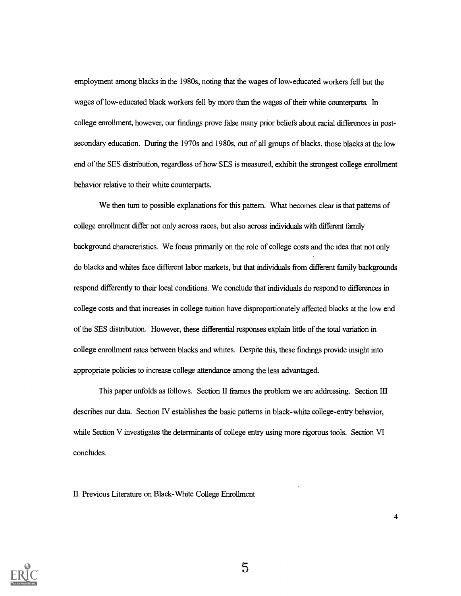employment among blacks in the 1980s, noting that the wages of low-educated workers fell but the wages of low-educated black workers fell by more than the wages of their white counterparts. In college enrollment, however, our findings prove false many prior beliefs about racial differences in postsecondary education. During the 1970s and 1980s, out of all groups of blacks, those blacks at the low end of the SES distribution, regardless of how SES is measured, exhibit the strongest college enrollment behavior relative to their white counterparts.

We then turn to possible explanations for this pattern. What becomes clear is that patterns of college enrollment differ not only across races, but also across individuals with different family background characteristics. We focus primarily on the role of college costs and the idea that not only do blacks and whites face different labor markets, but that individuals from different family backgrounds respond differently to their local conditions. We conclude that individuals do respond to differences in college costs and that increases in college tuition have disproportionately affected blacks at the low end of the SES distribution. However, these differential responses explain little of the total variation in college enrollment rates between blacks and whites. Despite this, these findings provide insight into appropriate policies to increase college attendance among the less advantaged.

This paper unfolds as follows. Section II frames the problem we are addressing. Section III describes our data. Section IV establishes the basic patterns in black-white college-entry behavior, while Section V investigates the determinants of college entry using more rigorous tools. Section VI concludes.

H. Previous Literature on Black-White College Enrollment



5

 $\overline{\mathbf{4}}$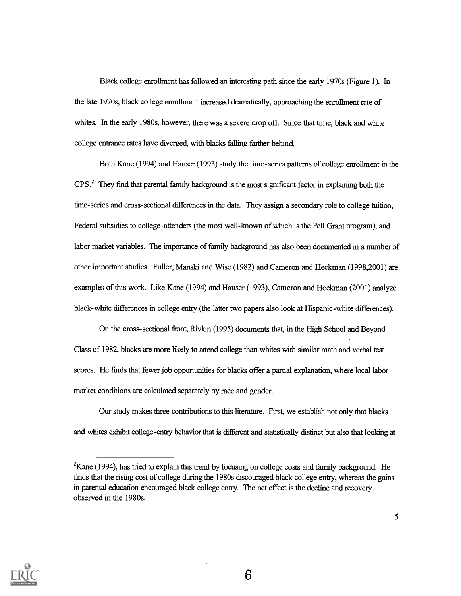Black college enrollment has followed an interesting path since the early 1970s (Figure 1). In the late 1970s, black college enrollment increased dramatically, approaching the enrollment rate of whites. In the early 1980s, however, there was a severe drop off. Since that time, black and white college entrance rates have diverged, with blacks falling farther behind.

Both Kane (1994) and Hauser (1993) study the time-series patterns of college enrollment in the CPS.<sup>2</sup> They find that parental family background is the most significant factor in explaining both the time-series and cross-sectional differences in the data. They assign a secondary role to college tuition, Federal subsidies to college-attenders (the most well-known of which is the Pell Grant program), and labor market variables. The importance of family background has also been documented in a number of other important studies. Fuller, Manski and Wise (1982) and Cameron and Heckman (1998,2001) are examples of this work. Like Kane (1994) and Hauser (1993), Cameron and Heckman (2001) analyze black-white differences in college entry (the latter two papers also look at Hispanic-white differences).

On the cross-sectional front, Rivkin (1995) documents that, in the High School and Beyond Class of 1982, blacks are more likely to attend college than whites with similar math and verbal test scores. He finds that fewer job opportunities for blacks offer a partial explanation, where local labor market conditions are calculated separately by race and gender.

Our study makes three contributions to this literature. First, we establish not only that blacks and whites exhibit college-entry behavior that is different and statistically distinct but also that looking at



 $2<sup>2</sup>$ Kane (1994), has tried to explain this trend by focusing on college costs and family background. He finds that the rising cost of college during the 1980s discouraged black college entry, whereas the gains in parental education encouraged black college entry. The net effect is the decline and recovery observed in the 1980s.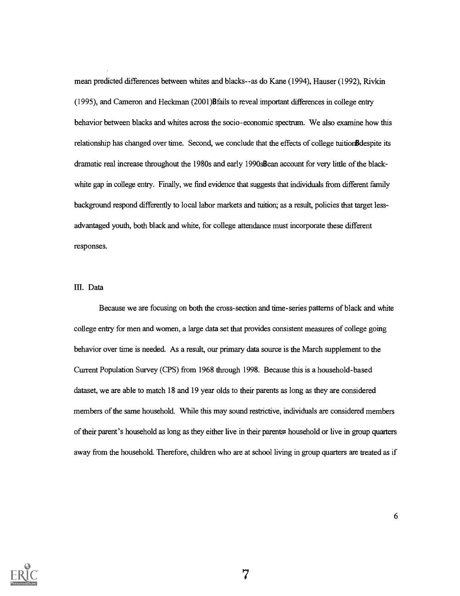mean predicted differences between whites and blacks--as do Kane (1994), Hauser (1992), Rivkin (1995), and Cameron and Heckman (2001)Bfails to reveal important differences in college entry behavior between blacks and whites across the socio-economic spectrum. We also examine how this relationship has changed over time. Second, we conclude that the effects of college tuitionBdespite its dramatic real increase throughout the 1980s and early 1990sBcan account for very little of the blackwhite gap in college entry. Finally, we find evidence that suggests that individuals from different family background respond differently to local labor markets and tuition; as a result, policies that target lessadvantaged youth, both black and white, for college attendance must incorporate these different responses.

# III. Data

Because we are focusing on both the cross-section and time-series patterns of black and white college entry for men and women, a large data set that provides consistent measures of college going behavior over time is needed. As a result, our primary data source is the March supplement to the Current Population Survey (CPS) from 1968 through 1998. Because this is a household-based dataset, we are able to match 18 and 19 year olds to their parents as long as they are considered members of the same household. While this may sound restrictive, individuals are considered members of their parent's household as long as they either live in their parents= household or live in group quarters away from the household. Therefore, children who are at school living in group quarters are treated as if

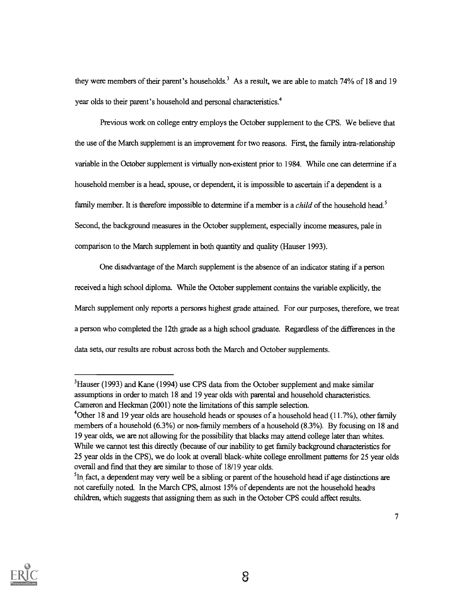they were members of their parent's households.<sup>3</sup> As a result, we are able to match 74% of 18 and 19 year olds to their parent's household and personal characteristics.4

Previous work on college entry employs the October supplement to the CPS. We believe that the use of the March supplement is an improvement for two reasons. First, the family infra - relationship variable in the October supplement is virtually non-existent prior to 1984. While one can determine if a household member is a head, spouse, or dependent, it is impossible to ascertain if a dependent is a family member. It is therefore impossible to determine if a member is a *child* of the household head.<sup>5</sup> Second, the background measures in the October supplement, especially income measures, pale in comparison to the March supplement in both quantity and quality (Hauser 1993).

One disadvantage of the March supplement is the absence of an indicator stating if a person received a high school diploma. While the October supplement contains the variable explicitly, the March supplement only reports a persones highest grade attained. For our purposes, therefore, we treat a person who completed the 12th grade as a high school graduate. Regardless of the differences in the data sets, our results are robust across both the March and October supplements.



<sup>&</sup>lt;sup>3</sup>Hauser (1993) and Kane (1994) use CPS data from the October supplement and make similar assumptions in order to match 18 and 19 year olds with parental and household characteristics. Cameron and Heckman (2001) note the limitations of this sample selection.

<sup>&</sup>lt;sup>4</sup>Other 18 and 19 year olds are household heads or spouses of a household head (11.7%), other family members of a household (6.3%) or non-family members of a household (8.3%). By focusing on 18 and 19 year olds, we are not allowing for the possibility that blacks may attend college later than whites. While we cannot test this directly (because of our inability to get family background characteristics for 25 year olds in the CPS), we do look at overall black-white college enrollment patterns for 25 year olds overall and find that they are similar to those of 18/19 year olds.

<sup>&</sup>lt;sup>5</sup>In fact, a dependent may very well be a sibling or parent of the household head if age distinctions are not carefully noted. In the March CPS, almost 15% of dependents are not the household head:s children, which suggests that assigning them as such in the October CPS could affect results.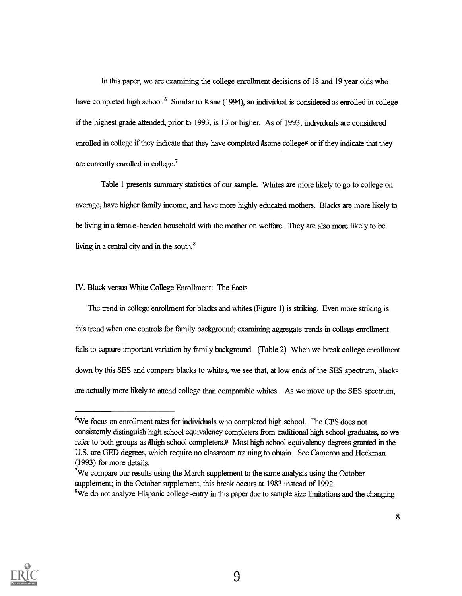In this paper, we are examining the college enrollment decisions of 18 and 19 year olds who have completed high school.<sup>6</sup> Similar to Kane (1994), an individual is considered as enrolled in college if the highest grade attended, prior to 1993, is 13 or higher. As of 1993, individuals are considered enrolled in college if they indicate that they have completed **A**some college<sup>®</sup> or if they indicate that they are currently enrolled in college.'

Table 1 presents summary statistics of our sample. Whites are more likely to go to college on average, have higher family income, and have more highly educated mothers. Blacks are more likely to be living in a female-headed household with the mother on welfare. They are also more likely to be living in a central city and in the south.<sup>8</sup>

## IV. Black versus White College Enrollment: The Facts

The trend in college enrollment for blacks and whites (Figure 1) is striking. Even more striking is this trend when one controls for family background; examining aggregate trends in college enrollment fails to capture important variation by family background. (Table 2) When we break college enrollment down by this SES and compare blacks to whites, we see that, at low ends of the SES spectrum, blacks are actually more likely to attend college than comparable whites. As we move up the SES spectrum,



<sup>6</sup>We focus on enrollment rates for individuals who completed high school. The CPS does not consistently distinguish high school equivalency completers from traditional high school graduates, so we refer to both groups as Ahigh school completers.@ Most high school equivalency degrees granted in the U.S. are GED degrees, which require no classroom training to obtain. See Cameron and Heckman (1993) for more details.

<sup>&#</sup>x27;We compare our results using the March supplement to the same analysis using the October supplement; in the October supplement, this break occurs at 1983 instead of 1992.

<sup>&</sup>lt;sup>8</sup>We do not analyze Hispanic college-entry in this paper due to sample size limitations and the changing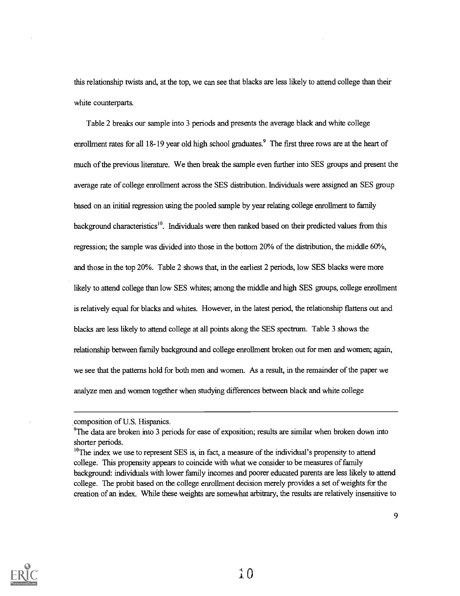this relationship twists and, at the top, we can see that blacks are less likely to attend college than their white counterparts.

Table 2 breaks our sample into 3 periods and presents the average black and white college enrollment rates for all 18-19 year old high school graduates.<sup>9</sup> The first three rows are at the heart of much of the previous literature. We then break the sample even further into SES groups and present the average rate of college enrollment across the SES distribution. Individuals were assigned an SES group based on an initial regression using the pooled sample by year relating college enrollment to family background characteristics<sup>10</sup>. Individuals were then ranked based on their predicted values from this regression; the sample was divided into those in the bottom 20% of the distribution, the middle 60%, and those in the top 20%. Table 2 shows that, in the earliest 2 periods, low SES blacks were more likely to attend college than low SES whites; among the middle and high SES groups, college enrollment is relatively equal for blacks and whites. However, in the latest period, the relationship flattens out and blacks are less likely to attend college at all points along the SES spectrum. Table 3 shows the relationship between family background and college enrollment broken out for men and women; again, we see that the patterns hold for both men and women. As a result, in the remainder of the paper we analyze men and women together when studying differences between black and white college



composition of U.S. Hispanics.

<sup>9</sup>The data are broken into 3 periods for ease of exposition; results are similar when broken down into shorter periods.

<sup>&</sup>lt;sup>10</sup>The index we use to represent SES is, in fact, a measure of the individual's propensity to attend college. This propensity appears to coincide with what we consider to be measures of family background: individuals with lower family incomes and poorer educated parents are less likely to attend college. The probit based on the college enrollment decision merely provides a set of weights for the creation of an index. While these weights are somewhat arbitrary, the results are relatively insensitive to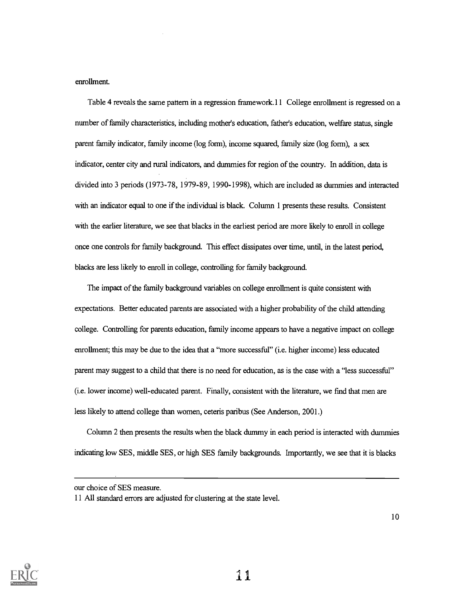enrollment.

Table 4 reveals the same pattern in a regression framework.11 College enrollment is regressed on a number of family characteristics, including mother's education, father's education, welfare status, single parent family indicator, family income (log form), income squared, family size (log form), a sex indicator, center city and rural indicators, and dummies for region of the country. In addition, data is divided into 3 periods (1973-78, 1979-89, 1990-1998), which are included as dummies and interacted with an indicator equal to one if the individual is black. Column 1 presents these results. Consistent with the earlier literature, we see that blacks in the earliest period are more likely to enroll in college once one controls for family background. This effect dissipates over time, until, in the latest period, blacks are less likely to enroll in college, controlling for family background.

The impact of the family background variables on college enrollment is quite consistent with expectations. Better educated parents are associated with a higher probability of the child attending college. Controlling for parents education, family income appears to have a negative impact on college enrollment; this may be due to the idea that a "more successful" (i.e. higher income) less educated parent may suggest to a child that there is no need for education, as is the case with a "less successful" (i.e. lower income) well-educated parent. Finally, consistent with the literature, we find that men are less likely to attend college than women, ceteris paribus (See Anderson, 2001.)

Column 2 then presents the results when the black dummy in each period is interacted with dummies indicating low SES, middle SES, or high SES family backgrounds. Importantly, we see that it is blacks



our choice of SES measure.

<sup>11</sup> All standard errors are adjusted for clustering at the state level.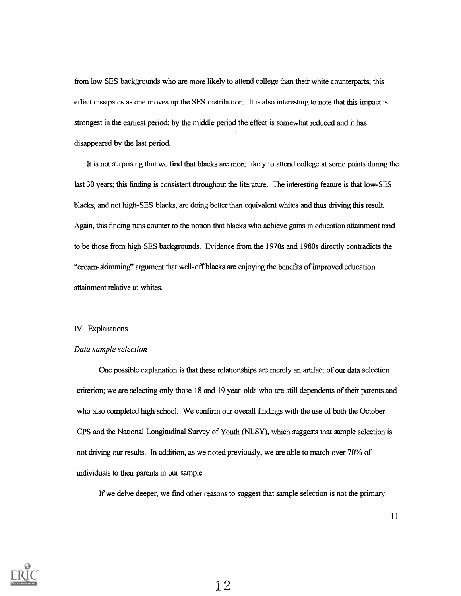from low SES backgrounds who are more likely to attend college than their white counterparts; this effect dissipates as one moves up the SES distribution. It is also interesting to note that this impact is strongest in the earliest period; by the middle period the effect is somewhat reduced and it has disappeared by the last period.

It is not surprising that we find that blacks are more likely to attend college at some points during the last 30 years; this finding is consistent throughout the literature. The interesting feature is that low- SES blacks, and not high-SES blacks, are doing better than equivalent whites and thus driving this result. Again, this finding runs counter to the notion that blacks who achieve gains in education attainment tend to be those from high SES backgrounds. Evidence from the 1970s and 1980s directly contradicts the "cream-skimming" argument that well-off blacks are enjoying the benefits of improved education attainment relative to whites.

## IV. Explanations

#### Data sample selection

One possible explanation is that these relationships are merely an artifact of our data selection criterion; we are selecting only those 18 and 19 year-olds who are still dependents of their parents and who also completed high school. We confirm our overall findings with the use of both the October CPS and the National Longitudinal Survey of Youth (NLSY), which suggests that sample selection is not driving our results. In addition, as we noted previously, we are able to match over 70% of individuals to their parents in our sample.

If we delve deeper, we find other reasons to suggest that sample selection is not the primary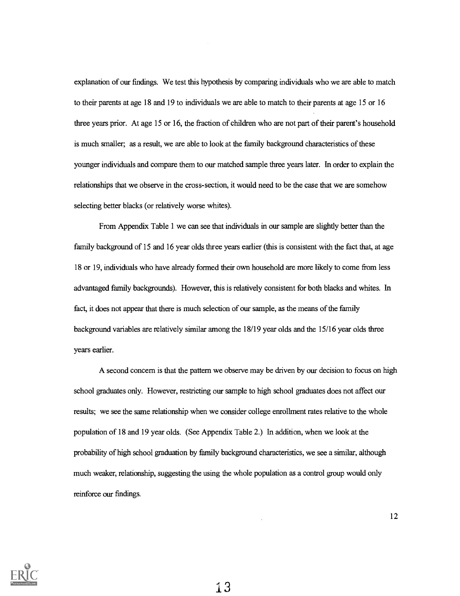explanation of our findings. We test this hypothesis by comparing individuals who we are able to match to their parents at age 18 and 19 to individuals we are able to match to their parents at age 15 or 16 three years prior. At age 15 or 16, the fraction of children who are not part of their parent's household is much smaller; as a result, we are able to look at the family background characteristics of these younger individuals and compare them to our matched sample three years later. In order to explain the relationships that we observe in the cross-section, it would need to be the case that we are somehow selecting better blacks (or relatively worse whites).

From Appendix Table 1 we can see that individuals in our sample are slightly better than the family background of 15 and 16 year olds three years earlier (this is consistent with the fact that, at age 18 or 19, individuals who have already formed their own household are more likely to come from less advantaged family backgrounds). However, this is relatively consistent for both blacks and whites. In fact, it does not appear that there is much selection of our sample, as the means of the family background variables are relatively similar among the 18/19 year olds and the 15/16 year olds three years earlier.

A second concern is that the pattern we observe may be driven by our decision to focus on high school graduates only. However, restricting our sample to high school graduates does not affect our results; we see the same relationship when we consider college enrollment rates relative to the whole population of 18 and 19 year olds. (See Appendix Table 2.) In addition, when we look at the probability of high school graduation by family background characteristics, we see a similar, although much weaker, relationship, suggesting the using the whole population as a control group would only reinforce our findings.

12

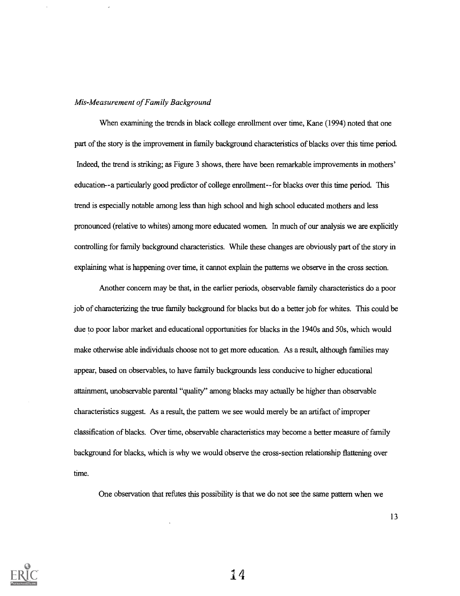## Mis-Measurement of Family Background

When examining the trends in black college enrollment over time, Kane (1994) noted that one part of the story is the improvement in family background characteristics of blacks over this time period. Indeed, the trend is striking; as Figure 3 shows, there have been remarkable improvements in mothers' education - -a particularly good predictor of college enrollment- -for blacks over this time period. This trend is especially notable among less than high school and high school educated mothers and less pronounced (relative to whites) among more educated women. In much of our analysis we are explicitly controlling for family background characteristics. While these changes are obviously part of the story in explaining what is happening over time, it cannot explain the patterns we observe in the cross section.

Another concern may be that, in the earlier periods, observable family characteristics do a poor job of characterizing the true family background for blacks but do a better job for whites. This could be due to poor labor market and educational opportunities for blacks in the 1940s and 50s, which would make otherwise able individuals choose not to get more education. As a result, although families may appear, based on observables, to have family backgrounds less conducive to higher educational attainment, unobservable parental "quality" among blacks may actually be higher than observable characteristics suggest. As a result, the pattern we see would merely be an artifact of improper classification of blacks. Over time, observable characteristics may become a better measure of family background for blacks, which is why we would observe the cross-section relationship flattening over time.

One observation that refutes this possibility is that we do not see the same pattern when we



14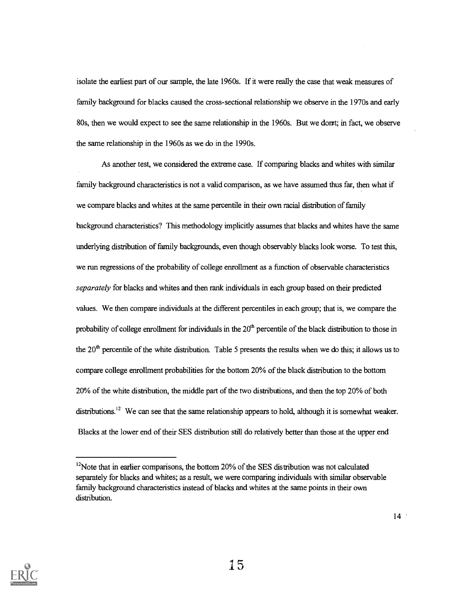isolate the earliest part of our sample, the late 1960s. If it were really the case that weak measures of family background for blacks caused the cross-sectional relationship we observe in the 1970s and early 80s, then we would expect to see the same relationship in the 1960s. But we dorrt; in fact, we observe the same relationship in the 1960s as we do in the 1990s.

As another test, we considered the extreme case. If comparing blacks and whites with similar family background characteristics is not a valid comparison, as we have assumed thus far, then what if we compare blacks and whites at the same percentile in their own racial distribution of family background characteristics? This methodology implicitly assumes that blacks and whites have the same underlying distribution of family backgrounds, even though observably blacks look worse. To test this, we run regressions of the probability of college enrollment as a function of observable characteristics separately for blacks and whites and then rank individuals in each group based on their predicted values. We then compare individuals at the different percentiles in each group; that is, we compare the probability of college enrollment for individuals in the 20<sup>th</sup> percentile of the black distribution to those in the  $20<sup>th</sup>$  percentile of the white distribution. Table 5 presents the results when we do this; it allows us to compare college enrollment probabilities for the bottom 20% of the black distribution to the bottom 20% of the white distribution, the middle part of the two distributions, and then the top 20% of both distributions.<sup>12</sup> We can see that the same relationship appears to hold, although it is somewhat weaker. Blacks at the lower end of their SES distribution still do relatively better than those at the upper end



 $12$ Note that in earlier comparisons, the bottom 20% of the SES distribution was not calculated separately for blacks and whites; as a result, we were comparing individuals with similar observable family background characteristics instead of blacks and whites at the same points in their own distribution.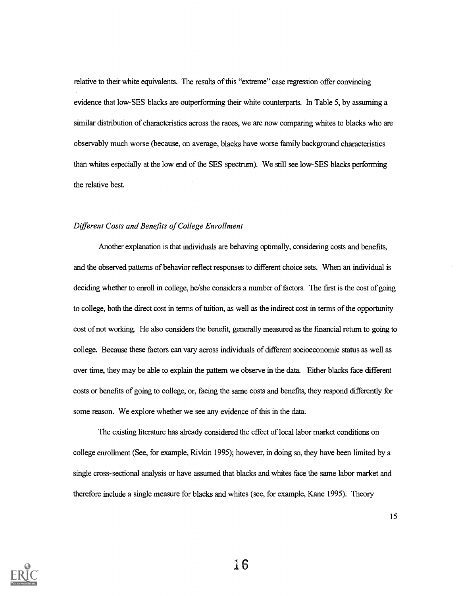relative to their white equivalents. The results of this "extreme" case regression offer convincing evidence that low-SES blacks are outperforming their white counterparts. In Table 5, by assuming a similar distribution of characteristics across the races, we are now comparing whites to blacks who are observably much worse (because, on average, blacks have worse family background characteristics than whites especially at the low end of the SES spectrum). We still see low-SES blacks performing the relative best.

#### Different Costs and Benefits of College Enrollment

Another explanation is that individuals are behaving optimally, considering costs and benefits, and the observed patterns of behavior reflect responses to different choice sets. When an individual is deciding whether to enroll in college, he/she considers a number of factors. The first is the cost of going to college, both the direct cost in terms of tuition, as well as the indirect cost in terms of the opportunity cost of not working. He also considers the benefit, generally measured as the financial return to going to college. Because these factors can vary across individuals of different socioeconomic status as well as over time, they may be able to explain the pattern we observe in the data Either blacks face different costs or benefits of going to college, or, facing the same costs and benefits, they respond differently for some reason. We explore whether we see any evidence of this in the data.

The existing literature has already considered the effect of local labor market conditions on college enrollment (See, for example, Rivkin 1995); however, in doing so, they have been limited by a single cross-sectional analysis or have assumed that blacks and whites face the same labor market and therefore include a single measure for blacks and whites (see, for example, Kane 1995). Theory

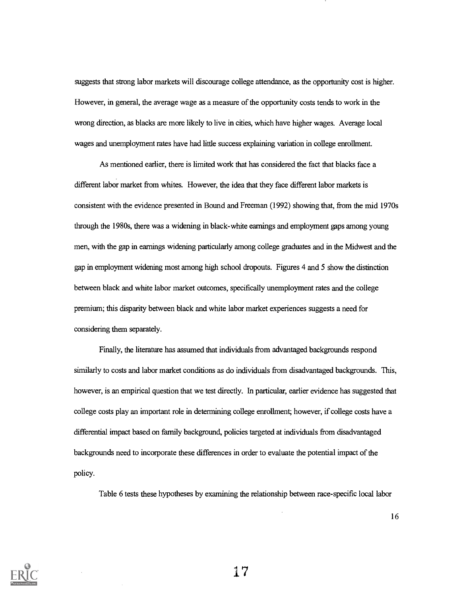suggests that strong labor markets will discourage college attendance, as the opportunity cost is higher. However, in general, the average wage as a measure of the opportunity costs tends to work in the wrong direction, as blacks are more likely to live in cities, which have higher wages. Average local wages and unemployment rates have had little success explaining variation in college enrollment.

As mentioned earlier, there is limited work that has considered the fact that blacks face a different labor market from whites. However, the idea that they face different labor markets is consistent with the evidence presented in Bound and Freeman (1992) showing that, from the mid 1970s through the 1980s, there was a widening in black-white earnings and employment gaps among young men, with the gap in earnings widening particularly among college graduates and in the Midwest and the gap in employment widening most among high school dropouts. Figures 4 and 5 show the distinction between black and white labor market outcomes, specifically unemployment rates and the college premium; this disparity between black and white labor market experiences suggests a need for considering them separately.

Finally, the literature has assumed that individuals from advantaged backgrounds respond similarly to costs and labor market conditions as do individuals from disadvantaged backgrounds. This, however, is an empirical question that we test directly. In particular, earlier evidence has suggested that college costs play an important role in determining college enrollment; however, if college costs have a differential impact based on family background, policies targeted at individuals from disadvantaged backgrounds need to incorporate these differences in order to evaluate the potential impact of the policy.

Table 6 tests these hypotheses by examining the relationship between race-specific local labor



17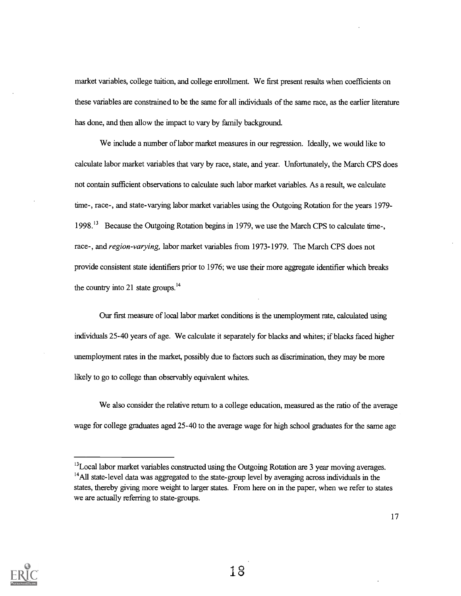market variables, college tuition, and college enrollment. We first present results when coefficients on these variables are constrained to be the same for all individuals of the same race, as the earlier literature has done, and then allow the impact to vary by family background.

We include a number of labor market measures in our regression. Ideally, we would like to calculate labor market variables that vary by race, state, and year. Unfortunately, the March CPS does not contain sufficient observations to calculate such labor market variables. As a result, we calculate time-, race-, and state-varying labor market variables using the Outgoing Rotation for the years 1979- 1998." Because the Outgoing Rotation begins in 1979, we use the March CPS to calculate time-, race-, and region-varying, labor market variables from 1973-1979. The March CPS does not provide consistent state identifiers prior to 1976; we use their more aggregate identifier which breaks the country into 21 state groups. $^{14}$ 

Our first measure of local labor market conditions is the unemployment rate, calculated using individuals 25-40 years of age. We calculate it separately for blacks and whites; if blacks faced higher unemployment rates in the market, possibly due to factors such as discrimination, they may be more likely to go to college than observably equivalent whites.

We also consider the relative return to a college education, measured as the ratio of the average wage for college graduates aged 25-40 to the average wage for high school graduates for the same age



 $^{13}$ Local labor market variables constructed using the Outgoing Rotation are 3 year moving averages. <sup>14</sup>All state-level data was aggregated to the state-group level by averaging across individuals in the states, thereby giving more weight to larger states. From here on in the paper, when we refer to states we are actually referring to state-groups.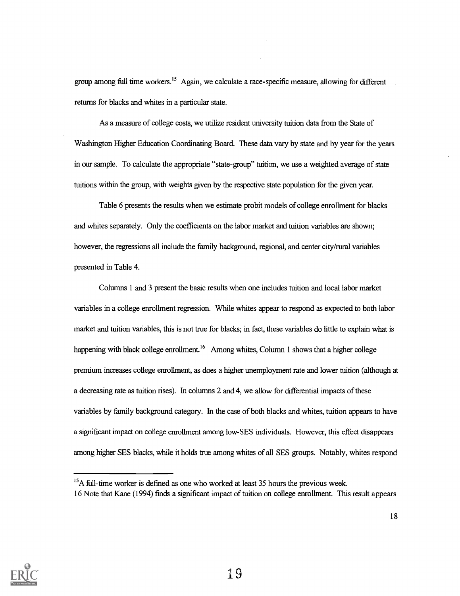group among full time workers.<sup>15</sup> Again, we calculate a race-specific measure, allowing for different returns for blacks and whites in a particular state.

As a measure of college costs, we utilize resident university tuition data from the State of Washington Higher Education Coordinating Board. These data vary by state and by year for the years in our sample. To calculate the appropriate "state-group" tuition, we use a weighted average of state tuitions within the group, with weights given by the respective state population for the given year.

Table 6 presents the results when we estimate probit models of college enrollment for blacks and whites separately. Only the coefficients on the labor market and tuition variables are shown; however, the regressions all include the family background, regional, and center city/rural variables presented in Table 4.

Columns 1 and 3 present the basic results when one includes tuition and local labor market variables in a college enrollment regression. While whites appear to respond as expected to both labor market and tuition variables, this is not true for blacks; in fact, these variables do little to explain what is happening with black college enrollment.<sup>16</sup> Among whites, Column 1 shows that a higher college premium increases college enrollment, as does a higher unemployment rate and lower tuition (although at a decreasing rate as tuition rises). In columns 2 and 4, we allow for differential impacts of these variables by family background category. In the case of both blacks and whites, tuition appears to have a significant impact on college enrollment among low-SES individuals. However, this effect disappears among higher SES blacks, while it holds true among whites of all SES groups. Notably, whites respond



<sup>&</sup>lt;sup>15</sup>A full-time worker is defined as one who worked at least 35 hours the previous week.

<sup>16</sup> Note that Kane (1994) finds a significant impact of tuition on college enrollment. This result appears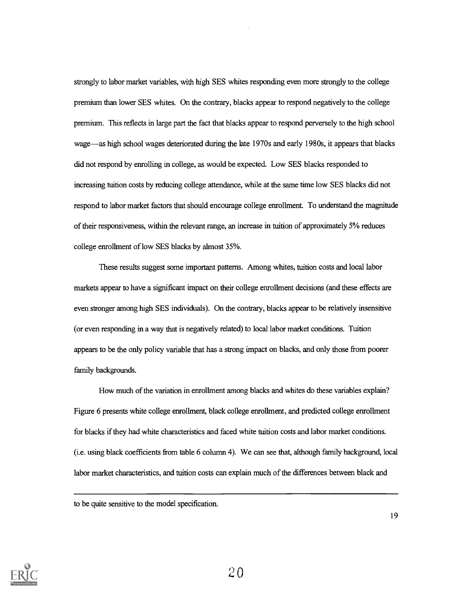strongly to labor market variables, with high SES whites responding even more strongly to the college premium than lower SES whites. On the contrary, blacks appear to respond negatively to the college premium. This reflects in large part the fact that blacks appear to respond perversely to the high school wage—as high school wages deteriorated during the late 1970s and early 1980s, it appears that blacks did not respond by enrolling in college, as would be expected. Low SES blacks responded to increasing tuition costs by reducing college attendance, while at the same time low SES blacks did not respond to labor market factors that should encourage college enrollment. To understand the magnitude of their responsiveness, within the relevant range, an increase in tuition of approximately 5% reduces college enrollment of low SES blacks by almost 35%.

These results suggest some important patterns. Among whites, tuition costs and local labor markets appear to have a significant impact on their college enrollment decisions (and these effects are even stronger among high SES individuals). On the contrary, blacks appear to be relatively insensitive (or even responding in a way that is negatively related) to local labor market conditions. Tuition appears to be the only policy variable that has a strong impact on blacks, and only those from poorer family backgrounds.

How much of the variation in enrollment among blacks and whites do these variables explain? Figure 6 presents white college enrollment, black college enrollment, and predicted college enrollment for blacks if they had white characteristics and faced white tuition costs and labor market conditions. (i.e. using black coefficients from table 6 column 4). We can see that, although family background, local labor market characteristics, and tuition costs can explain much of the differences between black and

to be quite sensitive to the model specification.

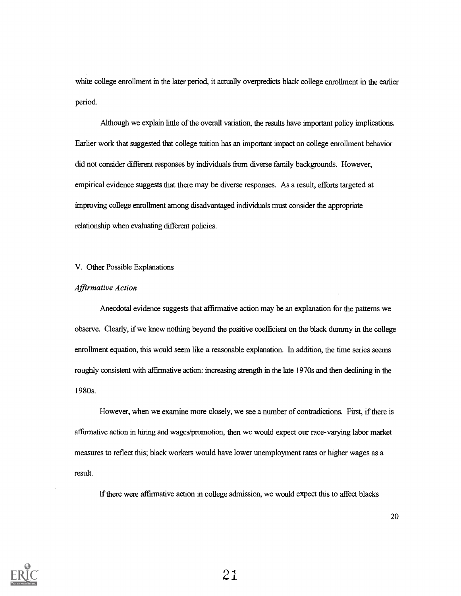white college enrollment in the later period, it actually overpredicts black college enrollment in the earlier period.

Although we explain little of the overall variation, the results have important policy implications. Earlier work that suggested that college tuition has an important impact on college enrollment behavior did not consider different responses by individuals from diverse family backgrounds. However, empirical evidence suggests that there may be diverse responses. As a result, efforts targeted at improving college enrollment among disadvantaged individuals must consider the appropriate relationship when evaluating different policies.

## V. Other Possible Explanations

# Affirmative Action

Anecdotal evidence suggests that affirmative action may be an explanation for the patterns we observe. Clearly, if we knew nothing beyond the positive coefficient on the black dummy in the college enrollment equation, this would seem like a reasonable explanation. In addition, the time series seems roughly consistent with affirmative action: increasing strength in the late 1970s and then declining in the 1980s.

However, when we examine more closely, we see a number of contradictions. First, if there is affirmative action in hiring and wages/promotion, then we would expect our race-varying labor market measures to reflect this; black workers would have lower unemployment rates or higher wages as a result.

If there were affirmative action in college admission, we would expect this to affect blacks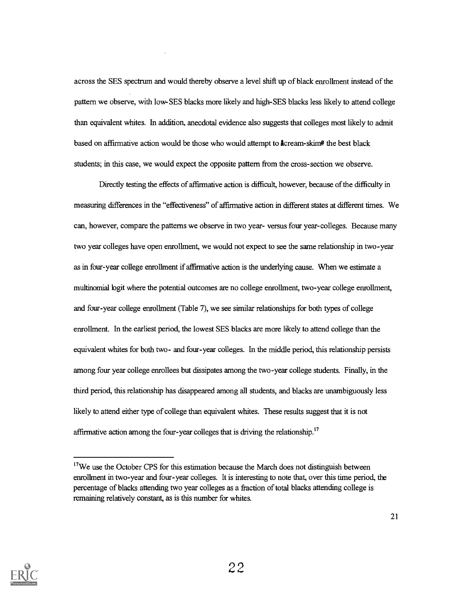across the SES spectrum and would thereby observe a level shift up of black enrollment instead of the pattern we observe, with low- SES blacks more likely and high-SES blacks less likely to attend college than equivalent whites. In addition, anecdotal evidence also suggests that colleges most likely to admit based on affirmative action would be those who would attempt to Acream-skim<sup>®</sup> the best black students; in this case, we would expect the opposite pattern from the cross-section we observe.

Directly testing the effects of affirmative action is difficult, however, because of the difficulty in measuring differences in the "effectiveness" of affirmative action in different states at different times. We can, however, compare the patterns we observe in two year- versus four year-colleges. Because many two year colleges have open enrollment, we would not expect to see the same relationship in two-year as in four-year college enrollment if affirmative action is the underlying cause. When we estimate a multinomial logit where the potential outcomes are no college enrollment, two-year college enrollment, and four-year college enrollment (Table 7), we see similar relationships for both types of college enrollment. In the earliest period, the lowest SES blacks are more likely to attend college than the equivalent whites for both two- and four-year colleges. In the middle period, this relationship persists among four year college enrollees but dissipates among the two-year college students. Finally, in the third period, this relationship has disappeared among all students, and blacks are unambiguously less likely to attend either type of college than equivalent whites. These results suggest that it is not affirmative action among the four-year colleges that is driving the relationship.<sup>17</sup>



<sup>&</sup>lt;sup>17</sup>We use the October CPS for this estimation because the March does not distinguish between enrollment in two-year and four-year colleges. It is interesting to note that, over this time period, the percentage of blacks attending two year colleges as a fraction of total blacks attending college is remaining relatively constant, as is this number for whites.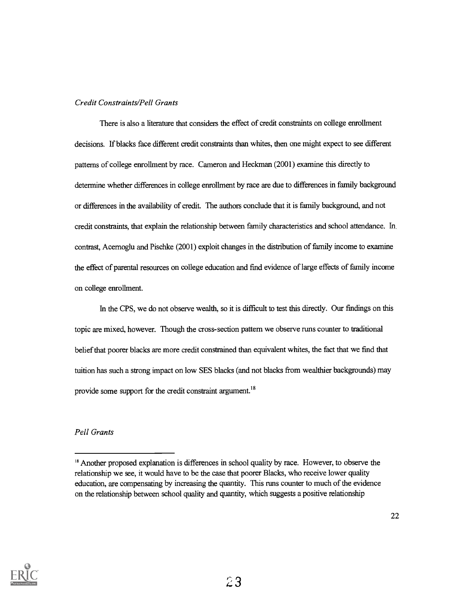# Credit Constraints/Pell Grants

There is also a literature that considers the effect of credit constraints on college enrollment decisions. If blacks face different credit constraints than whites, then one might expect to see different patterns of college enrollment by race. Cameron and Heckman (2001) examine this directly to determine whether differences in college enrollment by race are due to differences in family background or differences in the availability of credit. The authors conclude that it is family background, and not credit constraints, that explain the relationship between family characteristics and school attendance. In. contrast, Acemoglu and Pischke (2001) exploit changes in the distribution of family income to examine the effect of parental resources on college education and find evidence of large effects of family income on college enrollment.

In the CPS, we do not observe wealth, so it is difficult to test this directly. Our findings on this topic are mixed, however. Though the cross-section pattern we observe runs counter to traditional belief that poorer blacks are more credit constrained than equivalent whites, the fact that we find that tuition has such a strong impact on low SES blacks (and not blacks from wealthier backgrounds) may provide some support for the credit constraint argument.<sup>18</sup>

# Pell Grants



<sup>&</sup>lt;sup>18</sup> Another proposed explanation is differences in school quality by race. However, to observe the relationship we see, it would have to be the case that poorer Blacks, who receive lower quality education, are compensating by increasing the quantity. This runs counter to much of the evidence on the relationship between school quality and quantity, which suggests a positive relationship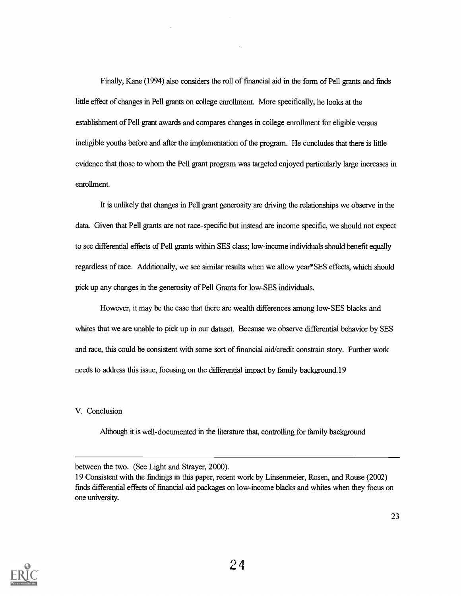Finally, Kane (1994) also considers the roll of financial aid in the form of Pell grants and finds little effect of changes in Pell grants on college enrollment. More specifically, he looks at the establishment of Pell grant awards and compares changes in college enrollment for eligible versus ineligible youths before and after the implementation of the program. He concludes that there is little evidence that those to whom the Pell grant program was targeted enjoyed particularly large increases in enrollment.

It is unlikely that changes in Pell grant generosity are driving the relationships we observe in the data. Given that Pell grants are not race-specific but instead are income specific, we should not expect to see differential effects of Pell grants within SES class; low-income individuals should benefit equally regardless of race. Additionally, we see similar results when we allow year\*SES effects, which should pick up any changes in the generosity of Pell Grants for low-SES individuals.

However, it may be the case that there are wealth differences among low- SES blacks and whites that we are unable to pick up in our dataset. Because we observe differential behavior by SES and race, this could be consistent with some sort of financial aid/credit constrain story. Further work needs to address this issue, focusing on the differential impact by family background.19

V. Conclusion

Although it is well-documented in the literature that, controlling for family background



between the two. (See Light and Strayer, 2000).

<sup>19</sup> Consistent with the findings in this paper, recent work by Linsenmeier, Rosen, and Rouse (2002) finds differential effects of financial aid packages on low-income blacks and whites when they focus on one university.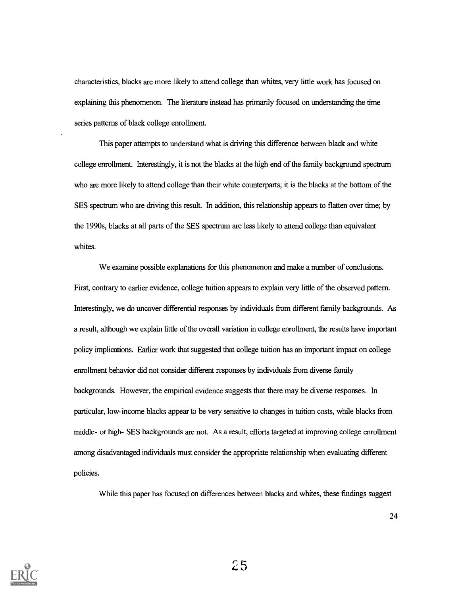characteristics, blacks are more likely to attend college than whites, very little work has focused on explaining this phenomenon. The literature instead has primarily focused on understanding the time series patterns of black college enrollment.

This paper attempts to understand what is driving this difference between black and white college enrollment. Interestingly, it is not the blacks at the high end of the family background spectrum who are more likely to attend college than their white counterparts; it is the blacks at the bottom of the SES spectrum who are driving this result. In addition, this relationship appears to flatten over time; by the 1990s, blacks at all parts of the SES spectrum are less likely to attend college than equivalent whites.

We examine possible explanations for this phenomenon and make a number of conclusions. First, contrary to earlier evidence, college tuition appears to explain very little of the observed pattern. Interestingly, we do uncover differential responses by individuals from different family backgrounds. As a result, although we explain little of the overall variation in college enrollment, the results have important policy implications. Earlier work that suggested that college tuition has an important impact on college enrollment behavior did not consider different responses by individuals from diverse family backgrounds. However, the empirical evidence suggests that there may be diverse responses. In particular, low-income blacks appear to be very sensitive to changes in tuition costs, while blacks from middle- or high- SES backgrounds are not. As a result, efforts targeted at improving college enrollment among disadvantaged individuals must consider the appropriate relationship when evaluating different policies.

While this paper has focused on differences between blacks and whites, these findings suggest

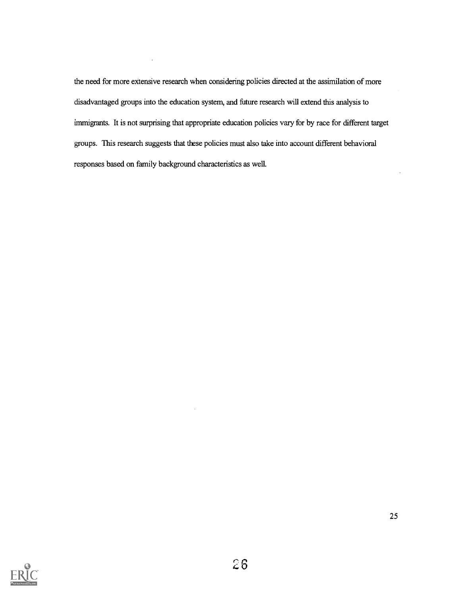the need for more extensive research when considering policies directed at the assimilation of more disadvantaged groups into the education system, and future research will extend this analysis to immigrants. It is not surprising that appropriate education policies vary for by race for different target groups. This research suggests that these policies must also take into account different behavioral responses based on family background characteristics as well.

 $\ddot{\phantom{1}}$ 

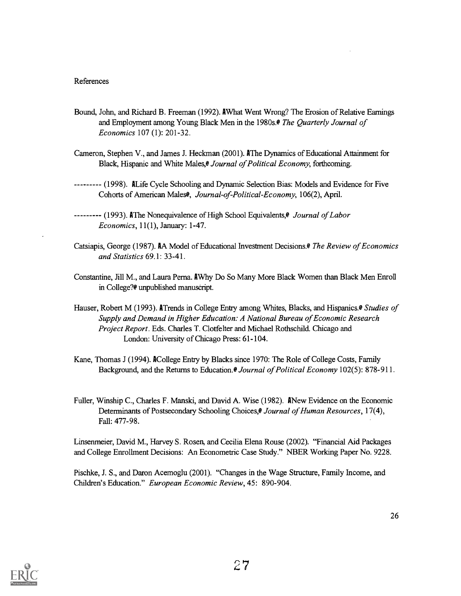# References

- Bound, John, and Richard B. Freeman (1992). AWhat Went Wrong? The Erosion of Relative Earnings and Employment among Young Black Men in the 1980s.<sup>@</sup> The Quarterly Journal of Economics 107 (1): 201-32.
- Cameron, Stephen V., and James J. Heckman (2001). AThe Dynamics of Educational Attainment for Black, Hispanic and White Males, *Journal of Political Economy*, forthcoming.
- (1998). ALife Cycle Schooling and Dynamic Selection Bias: Models and Evidence for Five Cohorts of American Males<sup>®</sup>, Journal-of-Political-Economy, 106(2), April.
- -------- (1993). AThe Nonequivalence of High School Equivalents, *Journal of Labor* Economics, 11(1), January: 1-47.
- Catsiapis, George (1987). AA Model of Educational Investment Decisions.@ The Review of Economics and Statistics 69.1: 33-41.
- Constantine, Jill M., and Laura Perna. AWhy Do So Many More Black Women than Black Men Enroll in College?@ unpublished manuscript.
- Hauser, Robert M (1993). ATrends in College Entry among Whites, Blacks, and Hispanics. *Studies of* Supply and Demand in Higher Education: A National Bureau of Economic Research Project Report. Eds. Charles T. Clotfelter and Michael Rothschild. Chicago and London: University of Chicago Press: 61-104.
- Kane, Thomas J (1994). ACollege Entry by Blacks since 1970: The Role of College Costs, Family Background, and the Returns to Education. *@ Journal of Political Economy* 102(5): 878-911.
- Fuller, Winship C., Charles F. Manski, and David A. Wise (1982). ANew Evidence on the Economic Determinants of Postsecondary Schooling Choices, *Journal of Human Resources*, 17(4), Fall: 477-98.

Linsenmeier, David M., Harvey S. Rosen, and Cecilia Elena Rouse (2002). "Financial Aid Packages and College Enrollment Decisions: An Econometric Case Study." NBER Working Paper No. 9228.

Pischke, J. S., and Daron Acemoglu (2001). "Changes in the Wage Structure, Family Income, and Children's Education." European Economic Review, 45: 890-904.

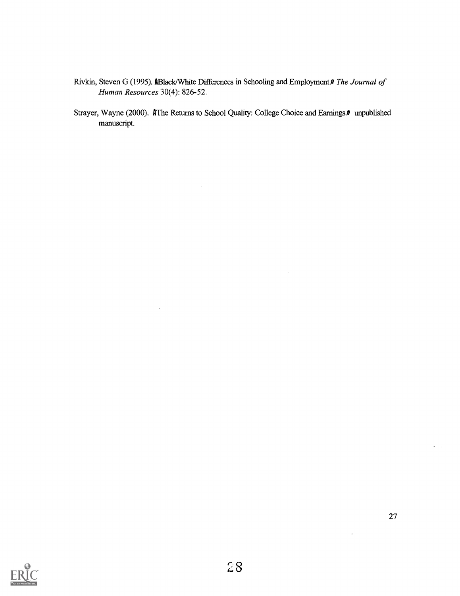- Rivkin, Steven G (1995). ABlack/White Differences in Schooling and Employment.@ The Journal of Human Resources 30(4): 826-52.
- Strayer, Wayne (2000). AThe Returns to School Quality: College Choice and Earnings.<sup>@</sup> unpublished manuscript.



 $\ddot{\phantom{0}}$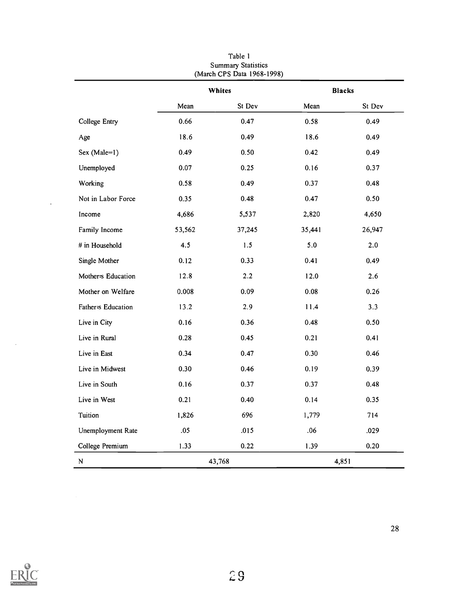|                      |        | (March CPS Data 1968-1998) |               |        |
|----------------------|--------|----------------------------|---------------|--------|
|                      | Whites |                            | <b>Blacks</b> |        |
|                      | Mean   | St Dev                     | Mean          | St Dev |
| <b>College Entry</b> | 0.66   | 0.47                       | 0.58          | 0.49   |
| Age                  | 18.6   | 0.49                       | 18.6          | 0.49   |
| Sex (Male=1)         | 0.49   | 0.50                       | 0.42          | 0.49   |
| Unemployed           | 0.07   | 0.25                       | 0.16          | 0.37   |
| Working              | 0.58   | 0.49                       | 0.37          | 0.48   |
| Not in Labor Force   | 0.35   | 0.48                       | 0.47          | 0.50   |
| Income               | 4,686  | 5,537                      | 2,820         | 4,650  |
| Family Income        | 53,562 | 37,245                     | 35,441        | 26,947 |
| $\#$ in Household    | 4.5    | 1.5                        | 5.0           | 2.0    |
| Single Mother        | 0.12   | 0.33                       | 0.41          | 0.49   |
| Mother s Education   | 12.8   | $2.2\,$                    | 12.0          | 2.6    |
| Mother on Welfare    | 0.008  | 0.09                       | 0.08          | 0.26   |
| Father-s Education   | 13.2   | 2.9                        | 11.4          | 3.3    |
| Live in City         | 0.16   | 0.36                       | 0.48          | 0.50   |
| Live in Rural        | 0.28   | 0.45                       | 0.21          | 0.41   |
| Live in East         | 0.34   | 0.47                       | 0.30          | 0.46   |
| Live in Midwest      | 0.30   | 0.46                       | 0.19          | 0.39   |
| Live in South        | 0.16   | 0.37                       | 0.37          | 0.48   |
| Live in West         | 0.21   | 0.40                       | 0.14          | 0.35   |
| Tuition              | 1,826  | 696                        | 1,779         | 714    |
| Unemployment Rate    | .05    | .015                       | .06           | .029   |
| College Premium      | 1.33   | 0.22                       | 1.39          | 0.20   |
| ${\bf N}$            |        | 43,768                     |               | 4,851  |

Table 1 Summary Statistics



 $\sim$ 

 $\ddot{\phantom{a}}$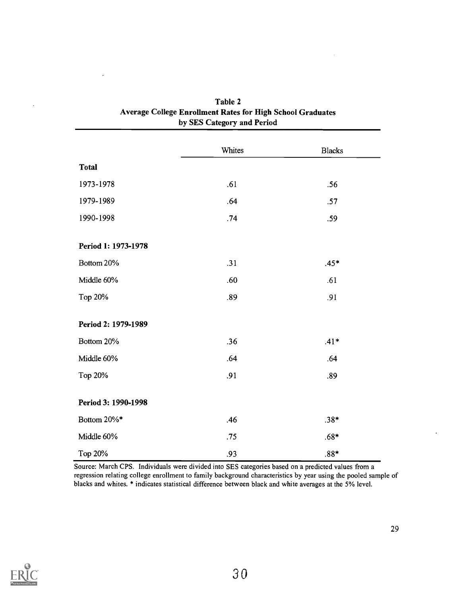|                     | Whites | <b>Blacks</b> |
|---------------------|--------|---------------|
| <b>Total</b>        |        |               |
| 1973-1978           | .61    | .56           |
| 1979-1989           | .64    | .57           |
| 1990-1998           | .74    | .59           |
|                     |        |               |
| Period 1: 1973-1978 |        |               |
| Bottom 20%          | .31    | $.45*$        |
| Middle 60%          | .60    | .61           |
| Top 20%             | .89    | .91           |
|                     |        |               |
| Period 2: 1979-1989 |        |               |
| Bottom 20%          | .36    | $.41*$        |
| Middle 60%          | .64    | .64           |
| Top 20%             | .91    | .89           |
|                     |        |               |
| Period 3: 1990-1998 |        |               |
| Bottom 20%*         | .46    | $.38*$        |
| Middle 60%          | .75    | $.68*$        |
| Top 20%             | .93    | $.88*$        |

| Table 2                                                           |
|-------------------------------------------------------------------|
| <b>Average College Enrollment Rates for High School Graduates</b> |
| by SES Category and Period                                        |

 $\mathcal{L}_{\mathcal{A}}$ 

Source: March CPS. Individuals were divided into SES categories based on a predicted values from a regression relating college enrollment to family background characteristics by year using the pooled sample of blacks and whites. \* indicates statistical difference between black and white averages at the 5% level.



 $\ddot{\phantom{a}}$ 

 $\cdot$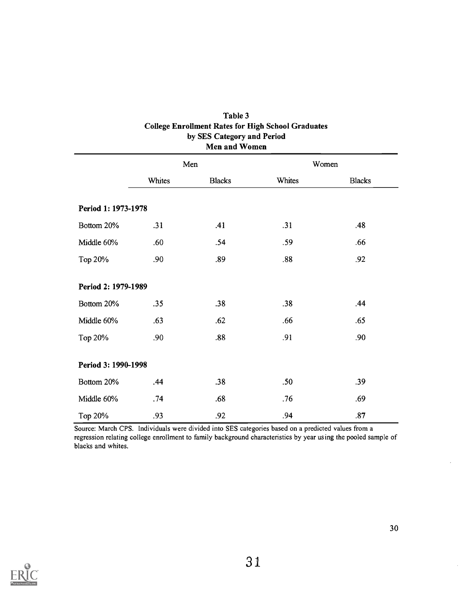|                     | Men    |               | Women  |               |
|---------------------|--------|---------------|--------|---------------|
|                     | Whites | <b>Blacks</b> | Whites | <b>Blacks</b> |
| Period 1: 1973-1978 |        |               |        |               |
| Bottom 20%          | .31    | .41           | .31    | .48           |
| Middle 60%          | .60    | .54           | .59    | .66           |
| Top 20%             | .90    | .89           | .88    | .92           |
| Period 2: 1979-1989 |        |               |        |               |
| Bottom 20%          | .35    | .38           | .38    | .44           |
| Middle 60%          | .63    | .62           | .66    | .65           |
| Top 20%             | .90    | .88           | .91    | .90           |
| Period 3: 1990-1998 |        |               |        |               |
| Bottom 20%          | .44    | .38           | .50    | .39           |
| Middle 60%          | .74    | .68           | .76    | .69           |
| Top 20%             | .93    | .92           | .94    | .87           |

| Table 3                                                   |
|-----------------------------------------------------------|
| <b>College Enrollment Rates for High School Graduates</b> |
| by SES Category and Period                                |
| Men and Women                                             |

Source: March CPS. Individuals were divided into SES categories based on a predicted values from a regression relating college enrollment to family background characteristics by year using the pooled sample of blacks and whites.



30

 $\bar{z}$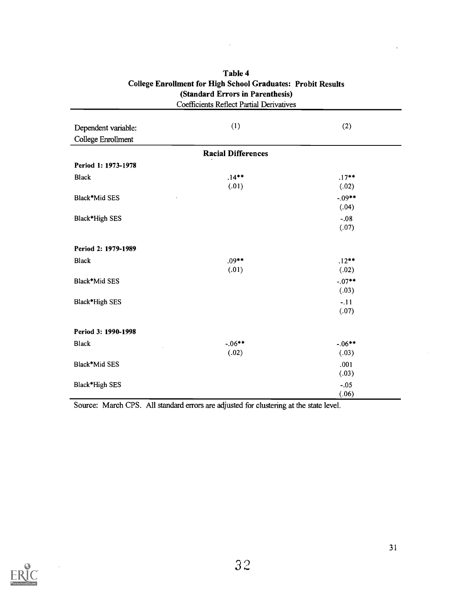| <b>Coefficients Reflect Partial Derivatives</b> |                           |                   |  |  |
|-------------------------------------------------|---------------------------|-------------------|--|--|
| Dependent variable:<br>College Enrollment       | (1)                       | (2)               |  |  |
|                                                 | <b>Racial Differences</b> |                   |  |  |
| Period 1: 1973-1978                             |                           |                   |  |  |
| <b>Black</b>                                    | $.14**$<br>(.01)          | $.17**$<br>(.02)  |  |  |
| Black*Mid SES                                   |                           | $-09**$<br>(.04)  |  |  |
| Black*High SES                                  |                           | $-.08$<br>(.07)   |  |  |
| Period 2: 1979-1989                             |                           |                   |  |  |
| <b>Black</b>                                    | $.09**$<br>(.01)          | $.12**$<br>(.02)  |  |  |
| Black*Mid SES                                   |                           | $-.07**$<br>(.03) |  |  |
| Black*High SES                                  |                           | $-.11$<br>(.07)   |  |  |
| Period 3: 1990-1998                             |                           |                   |  |  |
| <b>Black</b>                                    | $-.06***$<br>(.02)        | $-06**$<br>(.03)  |  |  |
| Black*Mid SES                                   |                           | .001<br>(.03)     |  |  |
| Black*High SES                                  |                           | $-.05$<br>(.06)   |  |  |

# Table 4 College Enrollment for High School Graduates: Probit Results (Standard Errors in Parenthesis)

 $\sim$ 

Source: March CPS. All standard errors are adjusted for clustering at the state level.

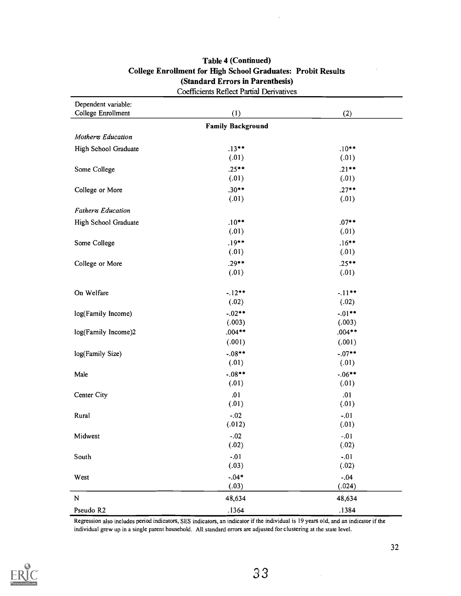| Dependent variable:<br>College Enrollment | (1)                      | (2)                |
|-------------------------------------------|--------------------------|--------------------|
|                                           | <b>Family Background</b> |                    |
| Mothers Education                         |                          |                    |
| High School Graduate                      | $.13**$                  | $.10**$            |
|                                           | (.01)                    | (.01)              |
| Some College                              | $.25**$                  | $.21**$            |
|                                           | (.01)                    | (.01)              |
| College or More                           | $.30**$                  | $.27**$            |
|                                           | (.01)                    | (.01)              |
| Fathers Education                         |                          |                    |
| High School Graduate                      | $.10**$                  | $.07**$            |
|                                           | (.01)                    | (.01)              |
| Some College                              | $.19**$                  | $.16***$           |
|                                           | (.01)                    | (.01)              |
| College or More                           | $.29**$                  | $.25**$            |
|                                           | (.01)                    | (.01)              |
|                                           |                          |                    |
| On Welfare                                | $-.12**$                 | $-.11**$           |
|                                           | (.02)                    | (.02)              |
| log(Family Income)                        | $-.02**$                 | $-.01**$           |
|                                           | (.003)                   | (.003)             |
| log(Family Income)2                       | $.004***$<br>(.001)      | $.004**$<br>(.001) |
|                                           |                          |                    |
| log(Family Size)                          | $-.08***$<br>(.01)       | $-.07**$<br>(.01)  |
|                                           | $-.08***$                | $-.06**$           |
| Male                                      | (.01)                    | (.01)              |
| Center City                               | .01                      | .01                |
|                                           | (.01)                    | (.01)              |
| Rural                                     | $-.02$                   | $-.01$             |
|                                           | (.012)                   | (.01)              |
| Midwest                                   | $-.02$                   | $-.01$             |
|                                           | (.02)                    | (.02)              |
| South                                     | $-.01$                   | $-.01$             |
|                                           | (.03)                    | (.02)              |
| West                                      | $-.04*$                  | $-.04$             |
|                                           | (.03)                    | (.024)             |
| ${\bf N}$                                 | 48,634                   | 48,634             |
| Pseudo R2                                 | .1364                    | .1384              |

# Table 4 (Continued) College Enrollment for High School Graduates: Probit Results (Standard Errors in Parenthesis) Coefficients Reflect Partial Derivatives

Regression also includes period indicators, SES indicators, an indicator if the individual is 19 years old, and an indicator if the individual grew up in a single parent household. All standard errors are adjusted for clustering at the state level.

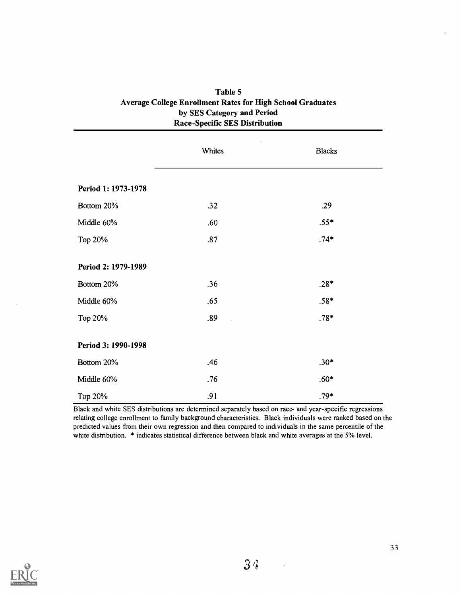|                     | Whites | <b>Blacks</b> |
|---------------------|--------|---------------|
| Period 1: 1973-1978 |        |               |
| Bottom 20%          | .32    | .29           |
| Middle 60%          | .60    | $.55*$        |
| Top 20%             | .87    | $.74*$        |
| Period 2: 1979-1989 |        |               |
| Bottom 20%          | .36    | $.28*$        |
| Middle 60%          | .65    | $.58*$        |
| Top 20%             | .89    | $.78*$        |
| Period 3: 1990-1998 |        |               |
| Bottom 20%          | .46    | $.30*$        |
| Middle 60%          | .76    | $.60*$        |
| Top 20%             | .91    | $.79*$        |

# Table 5 Average College Enrollment Rates for High School Graduates by SES Category and Period Race-Specific SES Distribution

Black and white SES distributions are determined separately based on race- and year-specific regressions relating college enrollment to family background characteristics. Black individuals were ranked based on the predicted values from their own regression and then compared to individuals in the same percentile of the white distribution. \* indicates statistical difference between black and white averages at the 5% level.



 $\bar{z}$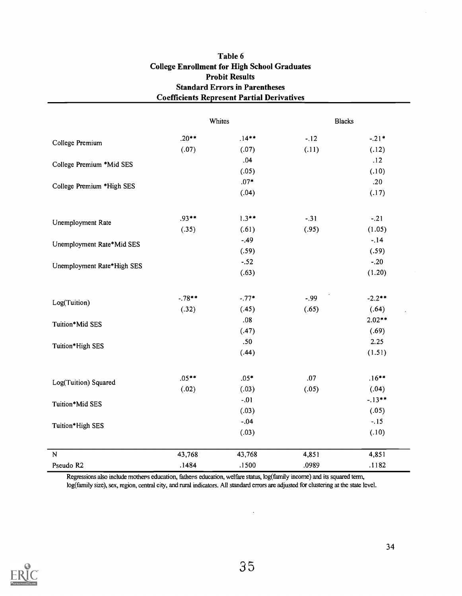| <b>Coefficients Represent Partial Derivatives</b> |          |          |        |               |
|---------------------------------------------------|----------|----------|--------|---------------|
|                                                   |          | Whites   |        | <b>Blacks</b> |
| College Premium                                   | $.20**$  | $.14***$ | $-.12$ | $-.21*$       |
|                                                   | (.07)    | (.07)    | (.11)  | (.12)         |
| College Premium *Mid SES                          |          | .04      |        | .12           |
|                                                   |          | (.05)    |        | (.10)         |
| College Premium *High SES                         |          | $.07*$   |        | .20           |
|                                                   |          | (.04)    |        | (.17)         |
| Unemployment Rate                                 | $.93**$  | $1.3**$  | $-.31$ | $-.21$        |
|                                                   | (.35)    | (.61)    | (.95)  | (1.05)        |
| Unemployment Rate*Mid SES                         |          | $-.49$   |        | $-.14$        |
|                                                   |          | (.59)    |        | (.59)         |
| Unemployment Rate*High SES                        |          | $-.52$   |        | $-.20$        |
|                                                   |          | (.63)    |        | (1.20)        |
| Log(Tuition)                                      | $-.78**$ | $-.77*$  | $-.99$ | $-2.2$ **     |
|                                                   | (.32)    | (.45)    | (.65)  | (.64)         |
| Tuition*Mid SES                                   |          | .08      |        | $2.02**$      |
|                                                   |          | (.47)    |        | (.69)         |
| Tuition*High SES                                  |          | .50      |        | 2.25          |
|                                                   |          | (.44)    |        | (1.51)        |
|                                                   | $.05**$  | $.05*$   | .07    | $.16***$      |
| Log(Tuition) Squared                              | (.02)    | (.03)    | (.05)  | (.04)         |
| Tuition*Mid SES                                   |          | $-.01$   |        | $-.13**$      |
|                                                   |          | (.03)    |        | (.05)         |
| Tuition*High SES                                  |          | $-.04$   |        | $-.15$        |
|                                                   |          | (.03)    |        | (.10)         |
| $\overline{N}$                                    | 43,768   | 43,768   | 4,851  | 4,851         |
| Pseudo R2                                         | .1484    | .1500    | .0989  | .1182         |

# Table 6 College Enrollment for High School Graduates Probit Results Standard Errors in Parentheses

Regressions also include mothers education, fathers education, welfare status, log(family income) and its squared term, log(family size), sex, region, central city, and rural indicators. All standard errors are adjusted for clustering at the state level.



 $\ddot{\phantom{a}}$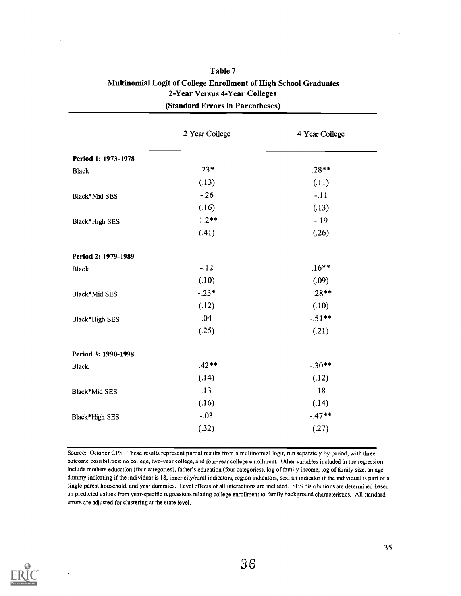|                     | 2 Year College | 4 Year College |
|---------------------|----------------|----------------|
| Period 1: 1973-1978 |                |                |
| <b>Black</b>        | $.23*$         | $.28**$        |
|                     | (.13)          | (.11)          |
| Black*Mid SES       | $-.26$         | $-.11$         |
|                     | (.16)          | (.13)          |
| Black*High SES      | $-1.2**$       | $-19$          |
|                     | (.41)          | (.26)          |
| Period 2: 1979-1989 |                |                |
| <b>Black</b>        | $-.12$         | $.16***$       |
|                     | (.10)          | (.09)          |
| Black*Mid SES       | $-.23*$        | $-.28**$       |
|                     | (.12)          | (.10)          |
| Black*High SES      | .04            | $-51**$        |
|                     | (.25)          | (.21)          |
| Period 3: 1990-1998 |                |                |
| <b>Black</b>        | $-.42**$       | $-.30**$       |
|                     | (.14)          | (.12)          |
| Black*Mid SES       | .13            | .18            |
|                     | (.16)          | (.14)          |
| Black*High SES      | $-.03$         | $-.47**$       |
|                     | (.32)          | (.27)          |

| Table 7                                                          |  |
|------------------------------------------------------------------|--|
| Multinomial Logit of College Enrollment of High School Graduates |  |
| 2-Year Versus 4-Year Colleges                                    |  |
| (Standard Errors in Parentheses)                                 |  |

Source: October CPS. These results represent partial results from a multinomial logit, run separately by period, with three outcome possibilities: no college, two-year college, and four-year college enrollment. Other variables included in the regression include mothers education (four categories), father's education (four categories), log of family income, log of family size, an age dummy indicating if the individual is 18, inner city/rural indicators, region indicators, sex, an indicator if the individual is part of a single parent household, and year dummies. Level effects of all interactions are included. SES distributions are determined based on predicted values from year-specific regressions relating college enrollment to family background characteristics. All standard errors are adjusted for clustering at the state level.

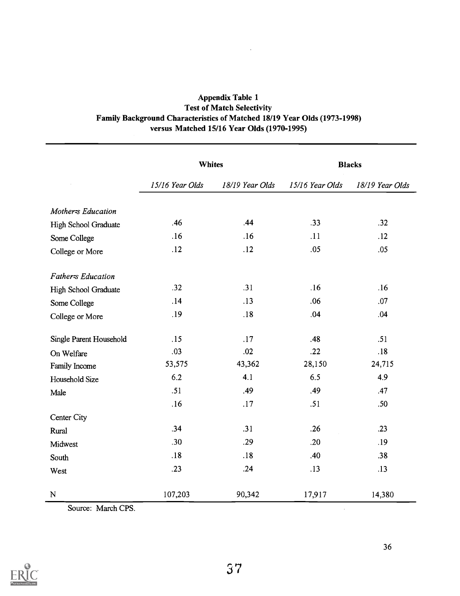| <b>Appendix Table 1</b>                                                         |  |
|---------------------------------------------------------------------------------|--|
| <b>Test of Match Selectivity</b>                                                |  |
| <b>Family Background Characteristics of Matched 18/19 Year Olds (1973-1998)</b> |  |
| versus Matched 15/16 Year Olds (1970-1995)                                      |  |

 $\ddot{\phantom{0}}$ 

|                           | <b>Whites</b>   |                 | <b>Blacks</b>   |                 |  |
|---------------------------|-----------------|-----------------|-----------------|-----------------|--|
|                           | 15/16 Year Olds | 18/19 Year Olds | 15/16 Year Olds | 18/19 Year Olds |  |
| <b>Motherss Education</b> |                 |                 |                 |                 |  |
| High School Graduate      | .46             | .44             | .33             | .32             |  |
| Some College              | .16             | .16             | .11             | .12             |  |
| College or More           | .12             | .12             | .05             | .05             |  |
| <b>Father-s Education</b> |                 |                 |                 |                 |  |
| High School Graduate      | .32             | .31             | .16             | .16             |  |
| Some College              | .14             | .13             | .06             | .07             |  |
| College or More           | .19             | .18             | .04             | .04             |  |
| Single Parent Household   | .15             | .17             | .48             | .51             |  |
| On Welfare                | .03             | .02             | .22             | .18             |  |
| Family Income             | 53,575          | 43,362          | 28,150          | 24,715          |  |
| Household Size            | 6.2             | 4.1             | 6.5             | 4.9             |  |
| Male                      | .51             | .49             | .49             | .47             |  |
|                           | .16             | .17             | .51             | .50             |  |
| Center City               |                 |                 |                 |                 |  |
| Rural                     | .34             | .31             | .26             | .23             |  |
| Midwest                   | .30             | .29             | .20             | .19             |  |
| South                     | .18             | .18             | .40             | .38             |  |
| West                      | .23             | .24             | .13             | .13             |  |
| ${\bf N}$                 | 107,203         | 90,342          | 17,917          | 14,380          |  |

Source: March CPS.



 $\sim 10$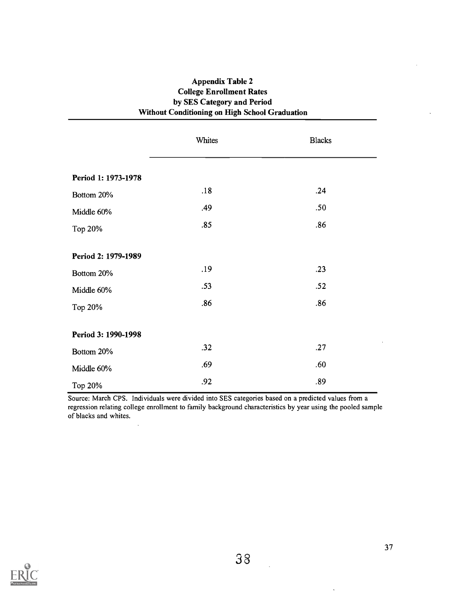| <b>Appendix Table 2</b>                        |  |
|------------------------------------------------|--|
| <b>College Enrollment Rates</b>                |  |
| by SES Category and Period                     |  |
| Without Conditioning on High School Graduation |  |

|                     | Whites | <b>Blacks</b> |
|---------------------|--------|---------------|
| Period 1: 1973-1978 |        |               |
| Bottom 20%          | .18    | .24           |
| Middle 60%          | .49    | .50           |
| Top 20%             | .85    | .86           |
| Period 2: 1979-1989 |        |               |
| Bottom 20%          | .19    | .23           |
| Middle 60%          | .53    | .52           |
| Top 20%             | .86    | .86           |
| Period 3: 1990-1998 |        |               |
| Bottom 20%          | .32    | .27           |
| Middle 60%          | .69    | .60           |
| Top 20%             | .92    | .89           |

Source: March CPS. Individuals were divided into SES categories based on a predicted values from a regression relating college enrollment to family background characteristics by year using the pooled sample of blacks and whites.



 $\ddot{\phantom{0}}$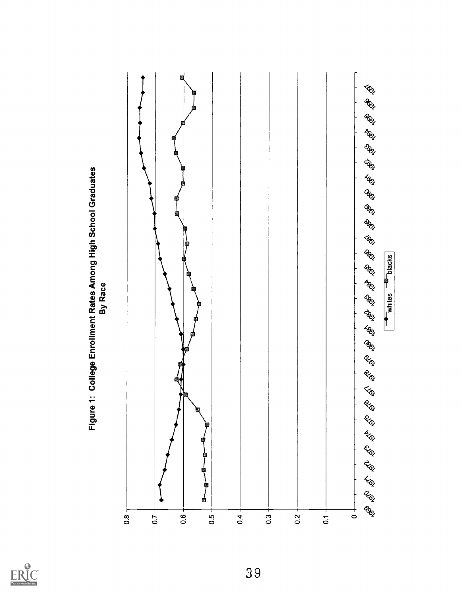



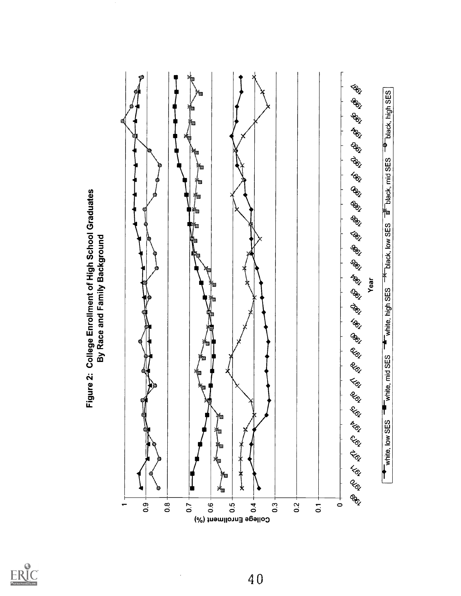



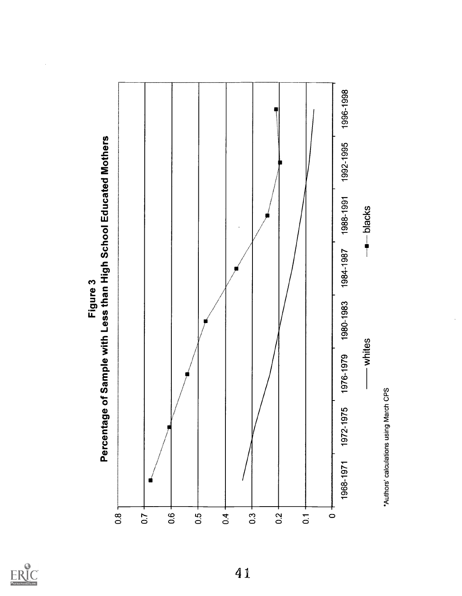



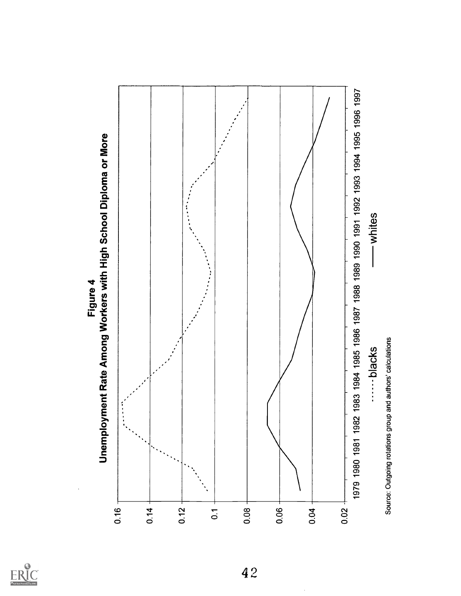

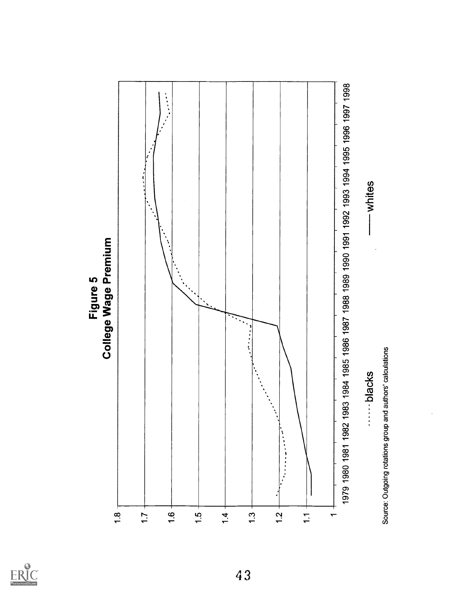

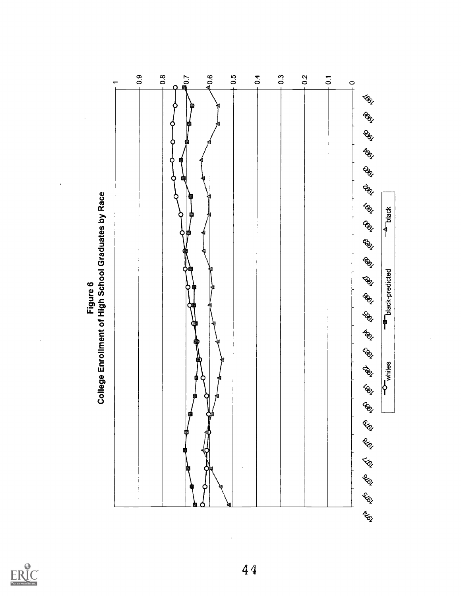

 $\ddot{\phantom{0}}$ 

 $\hat{\boldsymbol{\beta}}$ 



 $\frac{1}{2}$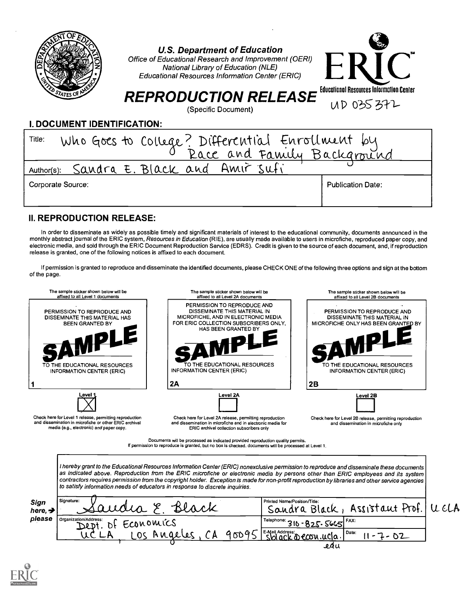

U.S. Department of Education

Office of Educational Research and Improvement (OERI) National Library of Education (NLE) Educational Resources Information Center (ERIC)



# $REPRODUCTION RELEASE$   $(8)$  and  $(8)$  or  $(8)$  or  $(8)$  or  $(8)$  or  $(8)$  or  $(8)$  or  $(8)$  or  $(8)$  or  $(8)$  or  $(8)$  or  $(8)$  or  $(8)$  or  $(8)$  or  $(8)$  or  $(8)$  or  $(8)$  or  $(8)$  or  $(8)$  or  $(8)$  or  $(8)$  or  $(8)$  or  $(8)$  or  $($

(Specific Document)

# I. DOCUMENT IDENTIFICATION:

| Who Goes to College? Differential Enrollment by<br>Title: |                          |  |  |
|-----------------------------------------------------------|--------------------------|--|--|
|                                                           |                          |  |  |
| Author(s): Sandra E. Black and Amir sufi                  |                          |  |  |
| Corporate Source:                                         | <b>Publication Date:</b> |  |  |
|                                                           |                          |  |  |

# II. REPRODUCTION RELEASE:

In order to disseminate as widely as possible timely and significant materials of interest to the educational community, documents announced in the monthly abstract journal of the ERIC system, Resources in Education (RIE), are usually made available to users in microfiche, reproduced paper copy, and electronic media, and sold through the ERIC Document Reproduction Service (EDRS). Credit is given to the source of each document, and, if reproduction release is granted, one of the following notices is affixed to each document.

If permission is granted to reproduce and disseminate the identified documents, please CHECK ONE of the following three options and sign at the bottom of the page.



edu